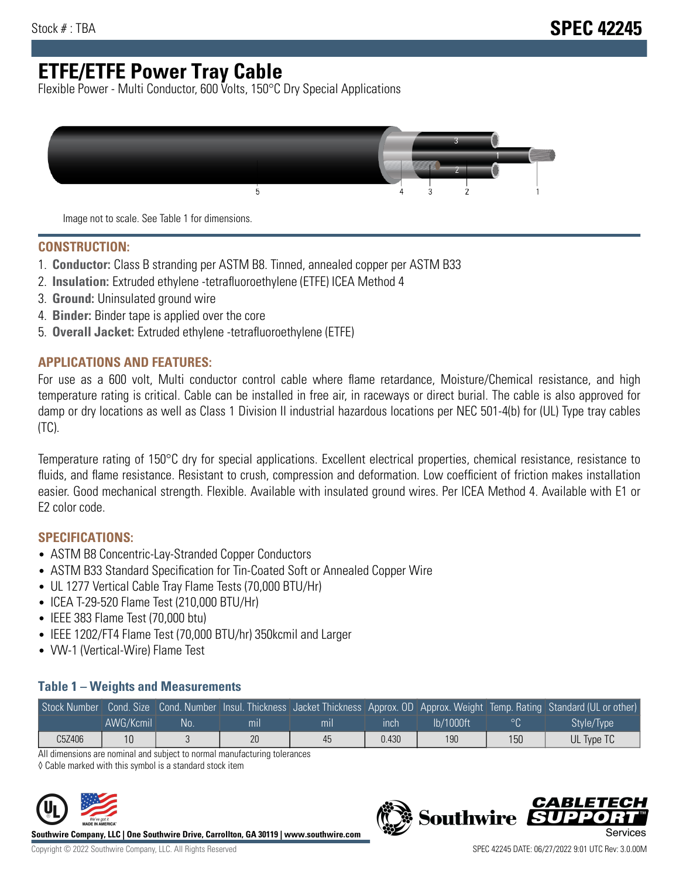# **ETFE/ETFE Power Tray Cable**

Flexible Power - Multi Conductor, 600 Volts, 150°C Dry Special Applications



Image not to scale. See Table 1 for dimensions.

#### **CONSTRUCTION:**

- 1. **Conductor:** Class B stranding per ASTM B8. Tinned, annealed copper per ASTM B33
- 2. **Insulation:** Extruded ethylene -tetrafluoroethylene (ETFE) ICEA Method 4
- 3. **Ground:** Uninsulated ground wire
- 4. **Binder:** Binder tape is applied over the core
- 5. **Overall Jacket:** Extruded ethylene -tetrafluoroethylene (ETFE)

### **APPLICATIONS AND FEATURES:**

For use as a 600 volt, Multi conductor control cable where flame retardance, Moisture/Chemical resistance, and high temperature rating is critical. Cable can be installed in free air, in raceways or direct burial. The cable is also approved for damp or dry locations as well as Class 1 Division II industrial hazardous locations per NEC 501-4(b) for (UL) Type tray cables (TC).

Temperature rating of 150°C dry for special applications. Excellent electrical properties, chemical resistance, resistance to fluids, and flame resistance. Resistant to crush, compression and deformation. Low coefficient of friction makes installation easier. Good mechanical strength. Flexible. Available with insulated ground wires. Per ICEA Method 4. Available with E1 or E2 color code.

## **SPECIFICATIONS:**

- ASTM B8 Concentric-Lay-Stranded Copper Conductors
- ASTM B33 Standard Specification for Tin-Coated Soft or Annealed Copper Wire
- UL 1277 Vertical Cable Tray Flame Tests (70,000 BTU/Hr)
- ICEA T-29-520 Flame Test (210,000 BTU/Hr)
- IEEE 383 Flame Test (70,000 btu)
- IEEE 1202/FT4 Flame Test (70,000 BTU/hr) 350kcmil and Larger
- VW-1 (Vertical-Wire) Flame Test

### **Table 1 – Weights and Measurements**

|        |           |    |     |     |       |           |         | Stock Number Cond. Size Cond. Number Insul. Thickness Jacket Thickness Approx. OD Approx. Weight Temp. Rating Standard (UL or other) |
|--------|-----------|----|-----|-----|-------|-----------|---------|--------------------------------------------------------------------------------------------------------------------------------------|
|        | AWG/Kcmil | No | mıl | mıl | ınch  | lb/1000ft | $\circ$ | Style/Type <sup>1</sup>                                                                                                              |
| C5Z406 | 10        |    | 20  | 45  | 0.430 | 190       | 150     | UL Type TC                                                                                                                           |

All dimensions are nominal and subject to normal manufacturing tolerances

◊ Cable marked with this symbol is a standard stock item



**Southwire Company, LLC | One Southwire Drive, Carrollton, GA 30119 | www.southwire.com**



CARLET